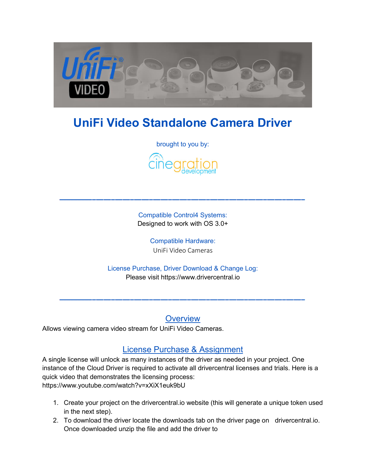

# **UniFi Video Standalone Camera Driver**

brought to you by:



Compatible Control4 Systems: Designed to work with OS 3.0+

> Compatible Hardware: UniFi Video Cameras

License Purchase, Driver Download & Change Log: Please visit [https://www.drivercentral.io](https://www.drivercentral.io/) 

**Overview** 

Allows viewing camera video stream for UniFi Video Cameras.

### License Purchase & Assignment

A single license will unlock as many instances of the driver as needed in your project. One instance of the Cloud Driver is required to activate all drivercentral licenses and trials. Here is a quick video that demonstrates the licensing process: <https://www.youtube.com/watch?v=xXiX1euk9bU>

- 1. Create your project on the drivercentral.io website (this will generate a unique token used in the next step).
- 2. To download the driver locate the downloads tab on the driver page on drivercentral.io. Once downloaded unzip the file and add the driver to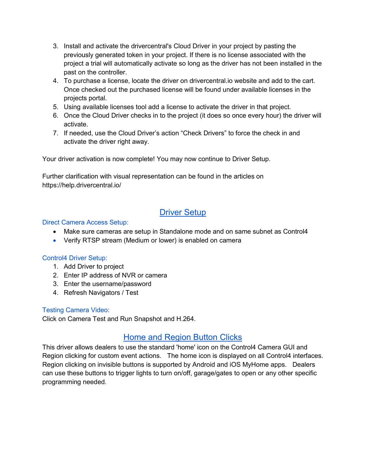- 3. Install and activate the drivercentral's Cloud Driver in your project by pasting the previously generated token in your project. If there is no license associated with the project a trial will automatically activate so long as the driver has not been installed in the past on the controller.
- 4. To purchase a license, locate the driver on drivercentral.io website and add to the cart. Once checked out the purchased license will be found under available licenses in the projects portal.
- 5. Using available licenses tool add a license to activate the driver in that project.
- 6. Once the Cloud Driver checks in to the project (it does so once every hour) the driver will activate.
- 7. If needed, use the Cloud Driver's action "Check Drivers" to force the check in and activate the driver right away.

Your driver activation is now complete! You may now continue to Driver Setup.

Further clarification with visual representation can be found in the articles on <https://help.drivercentral.io/>

## Driver Setup

#### Direct Camera Access Setup:

- Make sure cameras are setup in Standalone mode and on same subnet as Control4
- Verify RTSP stream (Medium or lower) is enabled on camera

#### Control4 Driver Setup:

- 1. Add Driver to project
- 2. Enter IP address of NVR or camera
- 3. Enter the username/password
- 4. Refresh Navigators / Test

#### Testing Camera Video:

Click on Camera Test and Run Snapshot and H.264.

### Home and Region Button Clicks

This driver allows dealers to use the standard 'home' icon on the Control4 Camera GUI and Region clicking for custom event actions. The home icon is displayed on all Control4 interfaces. Region clicking on invisible buttons is supported by Android and iOS MyHome apps. Dealers can use these buttons to trigger lights to turn on/off, garage/gates to open or any other specific programming needed.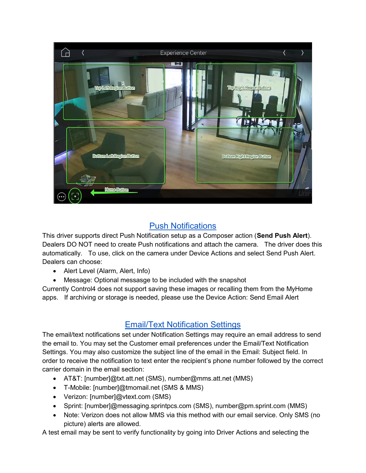

## Push Notifications

This driver supports direct Push Notification setup as a Composer action (**Send Push Alert**). Dealers DO NOT need to create Push notifications and attach the camera. The driver does this automatically. To use, click on the camera under Device Actions and select Send Push Alert. Dealers can choose:

- Alert Level (Alarm, Alert, Info)
- Message: Optional messasge to be included with the snapshot

Currently Control4 does not support saving these images or recalling them from the MyHome apps. If archiving or storage is needed, please use the Device Action: Send Email Alert

## Email/Text Notification Settings

The email/text notifications set under Notification Settings may require an email address to send the email to. You may set the Customer email preferences under the Email/Text Notification Settings. You may also customize the subject line of the email in the Email: Subject field. In order to receive the notification to text enter the recipient's phone number followed by the correct carrier domain in the email section:

- AT&T: [number]@txt.att.net (SMS), number@mms.att.net (MMS)
- T-Mobile: [number]@tmomail.net (SMS & MMS)
- Verizon: [number]@vtext.com (SMS)
- Sprint: [number]@messaging.sprintpcs.com (SMS), number@pm.sprint.com (MMS)
- Note: Verizon does not allow MMS via this method with our email service. Only SMS (no picture) alerts are allowed.

A test email may be sent to verify functionality by going into Driver Actions and selecting the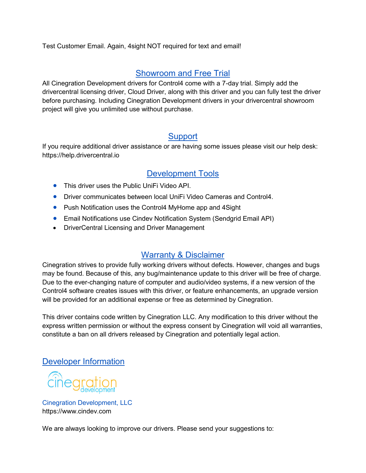Test Customer Email. Again, 4sight NOT required for text and email!

## Showroom and Free Trial

All Cinegration Development drivers for Control4 come with a 7-day trial. Simply add the drivercentral licensing driver, Cloud Driver, along with this driver and you can fully test the driver before purchasing. Including Cinegration Development drivers in your drivercentral showroom project will give you unlimited use without purchase.

### **Support**

If you require additional driver assistance or are having some issues please visit our help desk: [https://help.drivercentral.io](https://help.drivercentral.io/) 

## Development Tools

- This driver uses the Public UniFi Video API.
- **Driver communicates between local UniFi Video Cameras and Control4.**
- Push Notification uses the Control4 MyHome app and 4Sight
- Email Notifications use Cindev Notification System (Sendgrid Email API)
- DriverCentral Licensing and Driver Management

## Warranty & Disclaimer

Cinegration strives to provide fully working drivers without defects. However, changes and bugs may be found. Because of this, any bug/maintenance update to this driver will be free of charge. Due to the ever-changing nature of computer and audio/video systems, if a new version of the Control4 software creates issues with this driver, or feature enhancements, an upgrade version will be provided for an additional expense or free as determined by Cinegration.

This driver contains code written by Cinegration LLC. Any modification to this driver without the express written permission or without the express consent by Cinegration will void all warranties, constitute a ban on all drivers released by Cinegration and potentially legal action.

## Developer Information

cinegration

Cinegration Development, LLC [https://www.cindev.com](https://www.cindev.com/) 

We are always looking to improve our drivers. Please send your suggestions to: